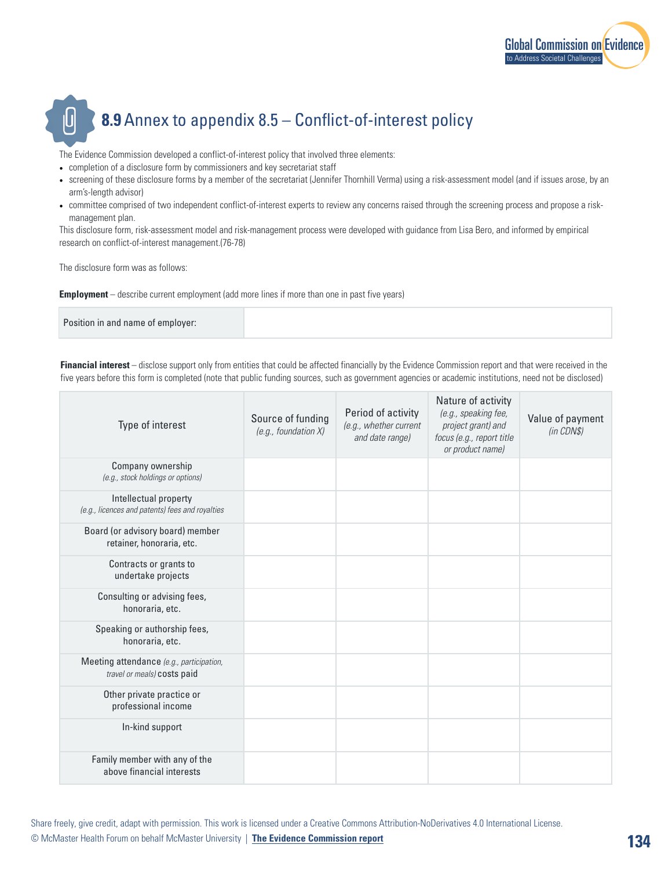

## **8.9** Annex to appendix 8.5 – Conflict-of-interest policy

The Evidence Commission developed a conflict-of-interest policy that involved three elements:

- completion of a disclosure form by commissioners and key secretariat staff
- screening of these disclosure forms by a member of the secretariat (Jennifer Thornhill Verma) using a risk-assessment model (and if issues arose, by an arm's-length advisor)
- committee comprised of two independent conflict-of-interest experts to review any concerns raised through the screening process and propose a riskmanagement plan.

This disclosure form, risk-assessment model and risk-management process were developed with guidance from Lisa Bero, and informed by empirical research on conflict-of-interest management.(76-78)

The disclosure form was as follows:

**Employment** – describe current employment (add more lines if more than one in past five years)

Position in and name of employer:

**Financial interest** – disclose support only from entities that could be affected financially by the Evidence Commission report and that were received in the five years before this form is completed (note that public funding sources, such as government agencies or academic institutions, need not be disclosed)

| Type of interest                                                         | Source of funding<br>$(e.g.,$ foundation $X$ ) | Period of activity<br>(e.g., whether current<br>and date range) | Nature of activity<br>(e.g., speaking fee,<br>project grant) and<br>focus (e.g., report title<br>or product name) | Value of payment<br>(in CDN\$) |
|--------------------------------------------------------------------------|------------------------------------------------|-----------------------------------------------------------------|-------------------------------------------------------------------------------------------------------------------|--------------------------------|
| Company ownership<br>(e.g., stock holdings or options)                   |                                                |                                                                 |                                                                                                                   |                                |
| Intellectual property<br>(e.g., licences and patents) fees and royalties |                                                |                                                                 |                                                                                                                   |                                |
| Board (or advisory board) member<br>retainer, honoraria, etc.            |                                                |                                                                 |                                                                                                                   |                                |
| Contracts or grants to<br>undertake projects                             |                                                |                                                                 |                                                                                                                   |                                |
| Consulting or advising fees,<br>honoraria, etc.                          |                                                |                                                                 |                                                                                                                   |                                |
| Speaking or authorship fees,<br>honoraria, etc.                          |                                                |                                                                 |                                                                                                                   |                                |
| Meeting attendance (e.g., participation,<br>travel or meals) costs paid  |                                                |                                                                 |                                                                                                                   |                                |
| Other private practice or<br>professional income                         |                                                |                                                                 |                                                                                                                   |                                |
| In-kind support                                                          |                                                |                                                                 |                                                                                                                   |                                |
| Family member with any of the<br>above financial interests               |                                                |                                                                 |                                                                                                                   |                                |

Share freely, give credit, adapt with permission. This work is licensed under a Creative Commons Attribution-NoDerivatives 4.0 International License. © McMaster Health Forum on behalf McMaster University | **[The Evidence Commission report](https://www.mcmasterforum.org/networks/evidence-commission/report/english)**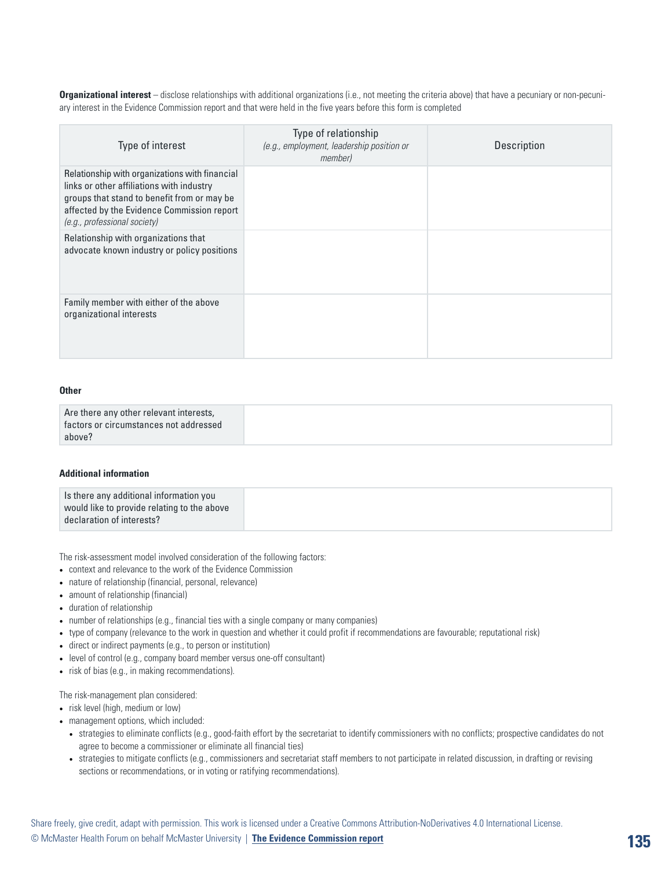**Organizational interest** – disclose relationships with additional organizations (i.e., not meeting the criteria above) that have a pecuniary or non-pecuniary interest in the Evidence Commission report and that were held in the five years before this form is completed

| Type of interest                                                                                                                                                                                                         | Type of relationship<br>(e.g., employment, leadership position or<br>memberl | Description |
|--------------------------------------------------------------------------------------------------------------------------------------------------------------------------------------------------------------------------|------------------------------------------------------------------------------|-------------|
| Relationship with organizations with financial<br>links or other affiliations with industry<br>groups that stand to benefit from or may be<br>affected by the Evidence Commission report<br>(e.g., professional society) |                                                                              |             |
| Relationship with organizations that<br>advocate known industry or policy positions                                                                                                                                      |                                                                              |             |
| Family member with either of the above<br>organizational interests                                                                                                                                                       |                                                                              |             |

## **Other**

| Are there any other relevant interests,       |
|-----------------------------------------------|
| $\mid$ factors or circumstances not addressed |
| above?                                        |

## **Additional information**

| Is there any additional information you     |
|---------------------------------------------|
| would like to provide relating to the above |
| declaration of interests?                   |

The risk-assessment model involved consideration of the following factors:

- context and relevance to the work of the Evidence Commission
- nature of relationship (financial, personal, relevance)
- amount of relationship (financial)
- duration of relationship
- number of relationships (e.g., financial ties with a single company or many companies)
- type of company (relevance to the work in question and whether it could profit if recommendations are favourable; reputational risk)
- direct or indirect payments (e.g., to person or institution)
- level of control (e.g., company board member versus one-off consultant)
- risk of bias (e.g., in making recommendations).

The risk-management plan considered:

- risk level (high, medium or low)
- management options, which included:
	- strategies to eliminate conflicts (e.g., good-faith effort by the secretariat to identify commissioners with no conflicts; prospective candidates do not agree to become a commissioner or eliminate all financial ties)
	- strategies to mitigate conflicts (e.g., commissioners and secretariat staff members to not participate in related discussion, in drafting or revising sections or recommendations, or in voting or ratifying recommendations).